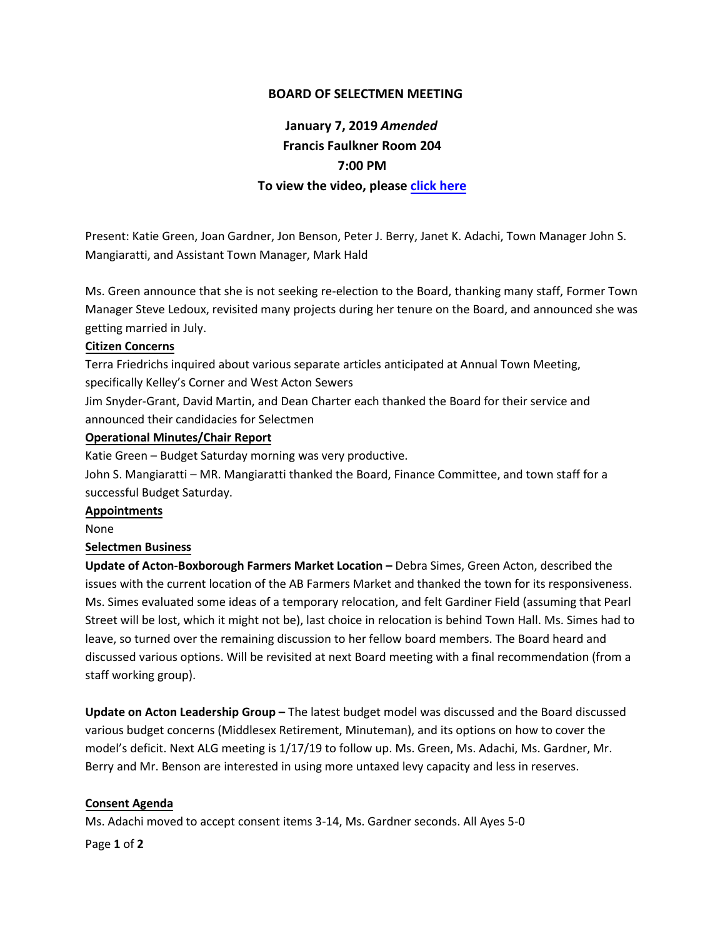## **BOARD OF SELECTMEN MEETING**

# **January 7, 2019** *Amended* **Francis Faulkner Room 204 7:00 PM To view the video, please [click here](http://actontv.org/on-demand/post-video/board-of-selectmen-1-7-2019)**

Present: Katie Green, Joan Gardner, Jon Benson, Peter J. Berry, Janet K. Adachi, Town Manager John S. Mangiaratti, and Assistant Town Manager, Mark Hald

Ms. Green announce that she is not seeking re-election to the Board, thanking many staff, Former Town Manager Steve Ledoux, revisited many projects during her tenure on the Board, and announced she was getting married in July.

## **Citizen Concerns**

Terra Friedrichs inquired about various separate articles anticipated at Annual Town Meeting, specifically Kelley's Corner and West Acton Sewers

Jim Snyder-Grant, David Martin, and Dean Charter each thanked the Board for their service and announced their candidacies for Selectmen

#### **Operational Minutes/Chair Report**

Katie Green – Budget Saturday morning was very productive.

John S. Mangiaratti – MR. Mangiaratti thanked the Board, Finance Committee, and town staff for a successful Budget Saturday.

#### **Appointments**

None

## **Selectmen Business**

**Update of Acton-Boxborough Farmers Market Location –** Debra Simes, Green Acton, described the issues with the current location of the AB Farmers Market and thanked the town for its responsiveness. Ms. Simes evaluated some ideas of a temporary relocation, and felt Gardiner Field (assuming that Pearl Street will be lost, which it might not be), last choice in relocation is behind Town Hall. Ms. Simes had to leave, so turned over the remaining discussion to her fellow board members. The Board heard and discussed various options. Will be revisited at next Board meeting with a final recommendation (from a staff working group).

**Update on Acton Leadership Group –** The latest budget model was discussed and the Board discussed various budget concerns (Middlesex Retirement, Minuteman), and its options on how to cover the model's deficit. Next ALG meeting is 1/17/19 to follow up. Ms. Green, Ms. Adachi, Ms. Gardner, Mr. Berry and Mr. Benson are interested in using more untaxed levy capacity and less in reserves.

## **Consent Agenda**

Ms. Adachi moved to accept consent items 3-14, Ms. Gardner seconds. All Ayes 5-0

Page **1** of **2**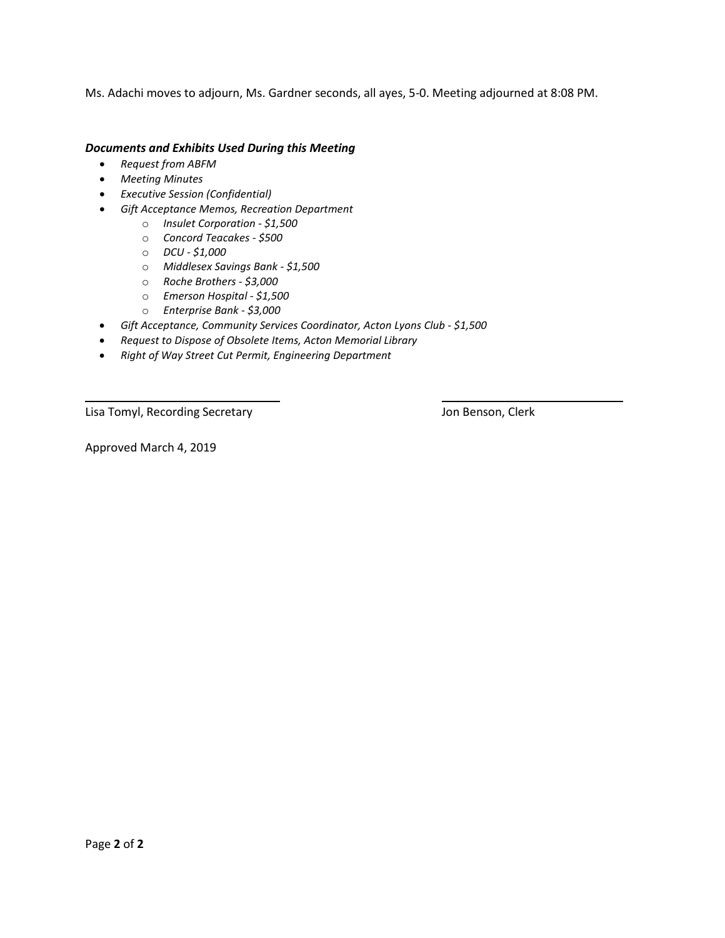Ms. Adachi moves to adjourn, Ms. Gardner seconds, all ayes, 5-0. Meeting adjourned at 8:08 PM.

#### *Documents and Exhibits Used During this Meeting*

- *Request from ABFM*
- *Meeting Minutes*
- *Executive Session (Confidential)*
- *Gift Acceptance Memos, Recreation Department*
	- o *Insulet Corporation - \$1,500*
	- o *Concord Teacakes - \$500*
	- o *DCU - \$1,000*
	- o *Middlesex Savings Bank - \$1,500*
	- o *Roche Brothers - \$3,000*
	- o *Emerson Hospital - \$1,500*
	- o *Enterprise Bank - \$3,000*
- *Gift Acceptance, Community Services Coordinator, Acton Lyons Club - \$1,500*
- *Request to Dispose of Obsolete Items, Acton Memorial Library*
- *Right of Way Street Cut Permit, Engineering Department*

Lisa Tomyl, Recording Secretary **Manufation Clerk** Jon Benson, Clerk

Approved March 4, 2019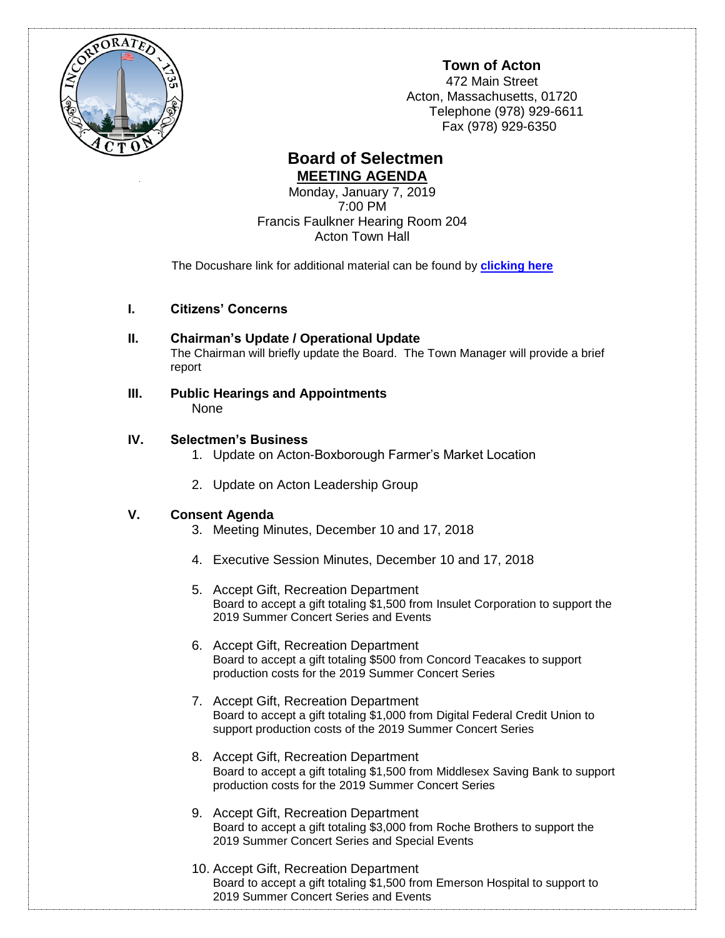

**Town of Acton**

472 Main Street Acton, Massachusetts, 01720 Telephone (978) 929-6611 Fax (978) 929-6350

# **Board of Selectmen MEETING AGENDA**

Monday, January 7, 2019 7:00 PM Francis Faulkner Hearing Room 204 Acton Town Hall

The Docushare link for additional material can be found by **[clicking here](http://doc.acton-ma.gov/dsweb/View/Collection-10650)**

- **I. Citizens' Concerns**
- **II. Chairman's Update / Operational Update** The Chairman will briefly update the Board. The Town Manager will provide a brief report
- **III. Public Hearings and Appointments** None

# **IV. Selectmen's Business**

- 1. Update on Acton-Boxborough Farmer's Market Location
- 2. Update on Acton Leadership Group

## **V. Consent Agenda**

- 3. Meeting Minutes, December 10 and 17, 2018
- 4. Executive Session Minutes, December 10 and 17, 2018
- 5. Accept Gift, Recreation Department Board to accept a gift totaling \$1,500 from Insulet Corporation to support the 2019 Summer Concert Series and Events
- 6. Accept Gift, Recreation Department Board to accept a gift totaling \$500 from Concord Teacakes to support production costs for the 2019 Summer Concert Series
- 7. Accept Gift, Recreation Department Board to accept a gift totaling \$1,000 from Digital Federal Credit Union to support production costs of the 2019 Summer Concert Series
- 8. Accept Gift, Recreation Department Board to accept a gift totaling \$1,500 from Middlesex Saving Bank to support production costs for the 2019 Summer Concert Series
- 9. Accept Gift, Recreation Department Board to accept a gift totaling \$3,000 from Roche Brothers to support the 2019 Summer Concert Series and Special Events
- 10. Accept Gift, Recreation Department Board to accept a gift totaling \$1,500 from Emerson Hospital to support to 2019 Summer Concert Series and Events